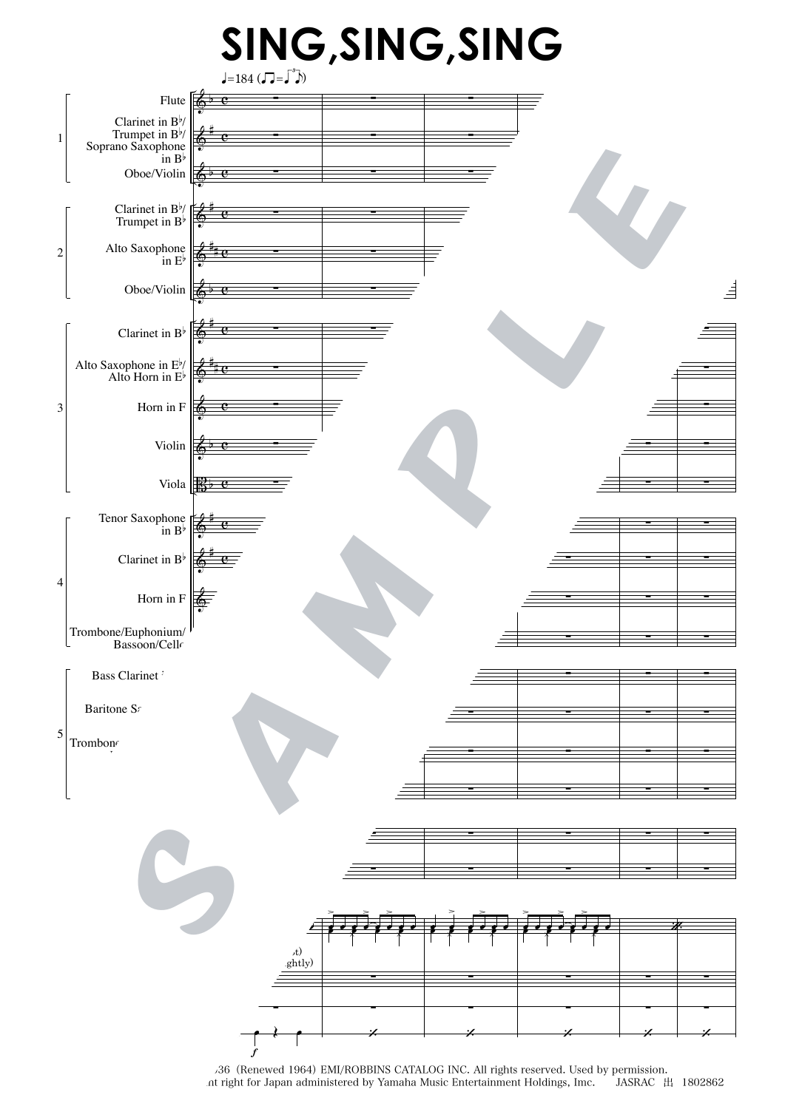## SING, SING, SING



J36 (Renewed 1964) EMI/ROBBINS CATALOG INC. All rights reserved. Used by permission.<br>It right for Japan administered by Yamaha Music Entertainment Holdings, Imc. JASRAC 出 1802862 Int right for Japan administered by Yamaha Music Entertainment Holdings, Imc.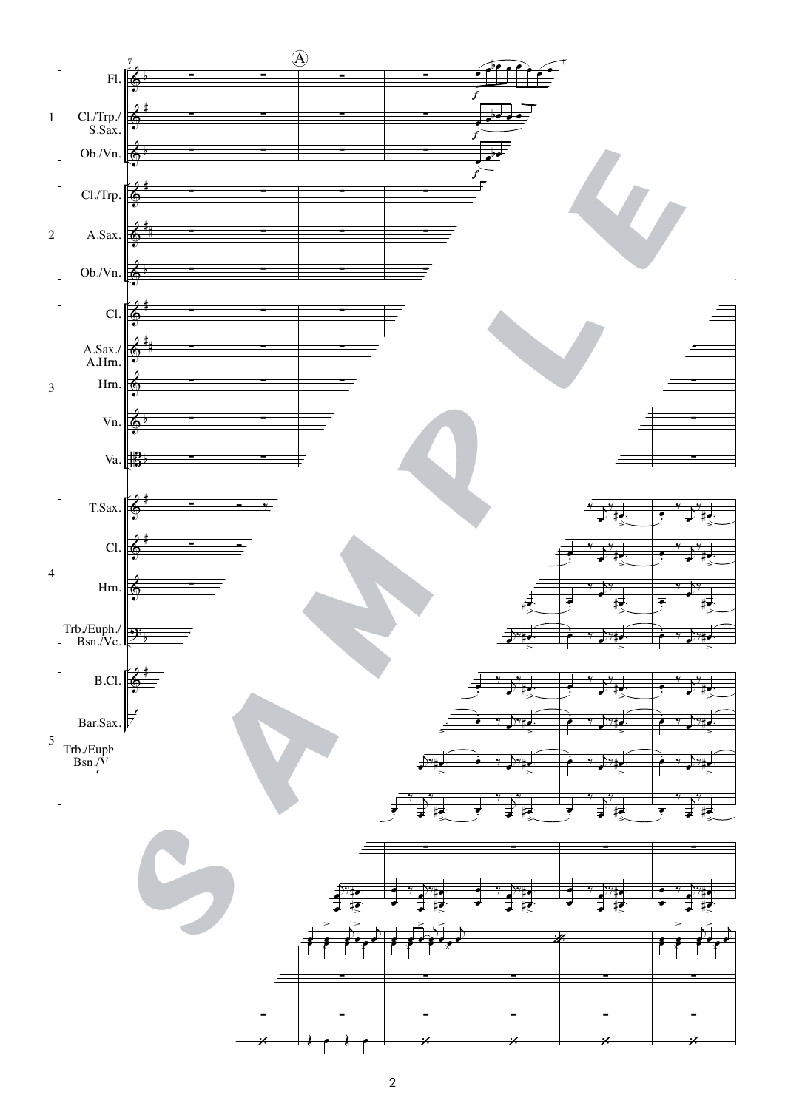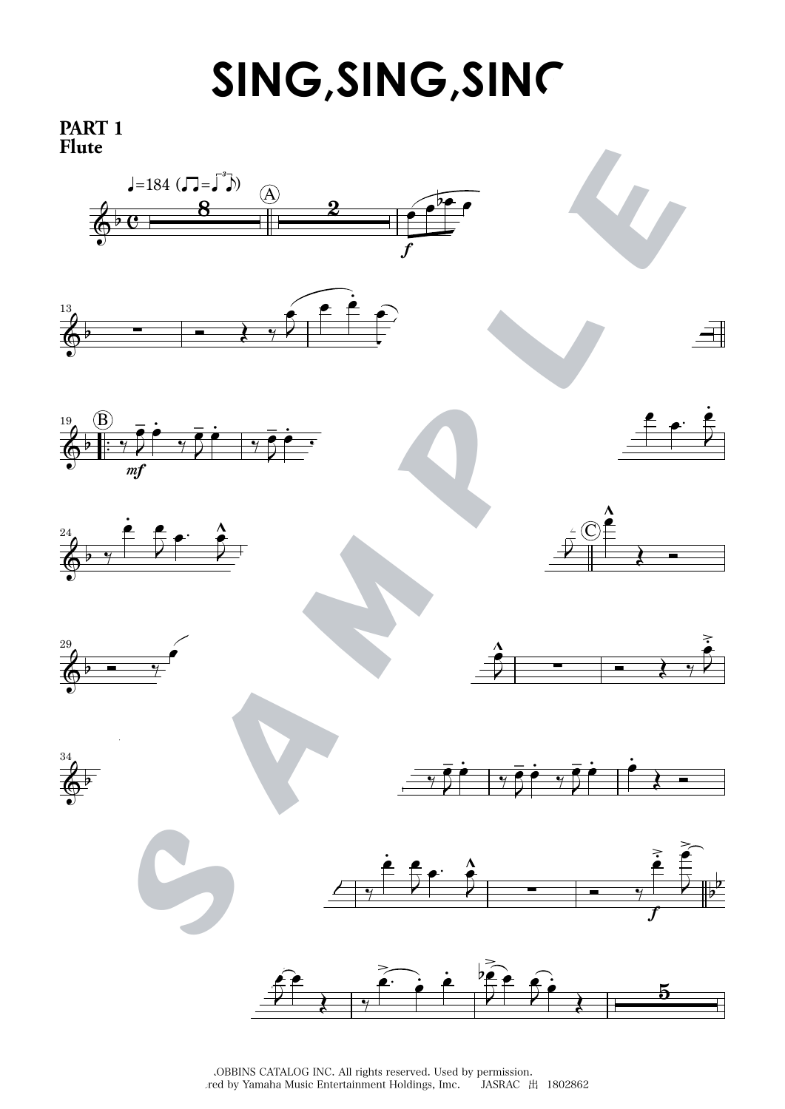## **SING,SING,SING**

**PART 1 Flute**

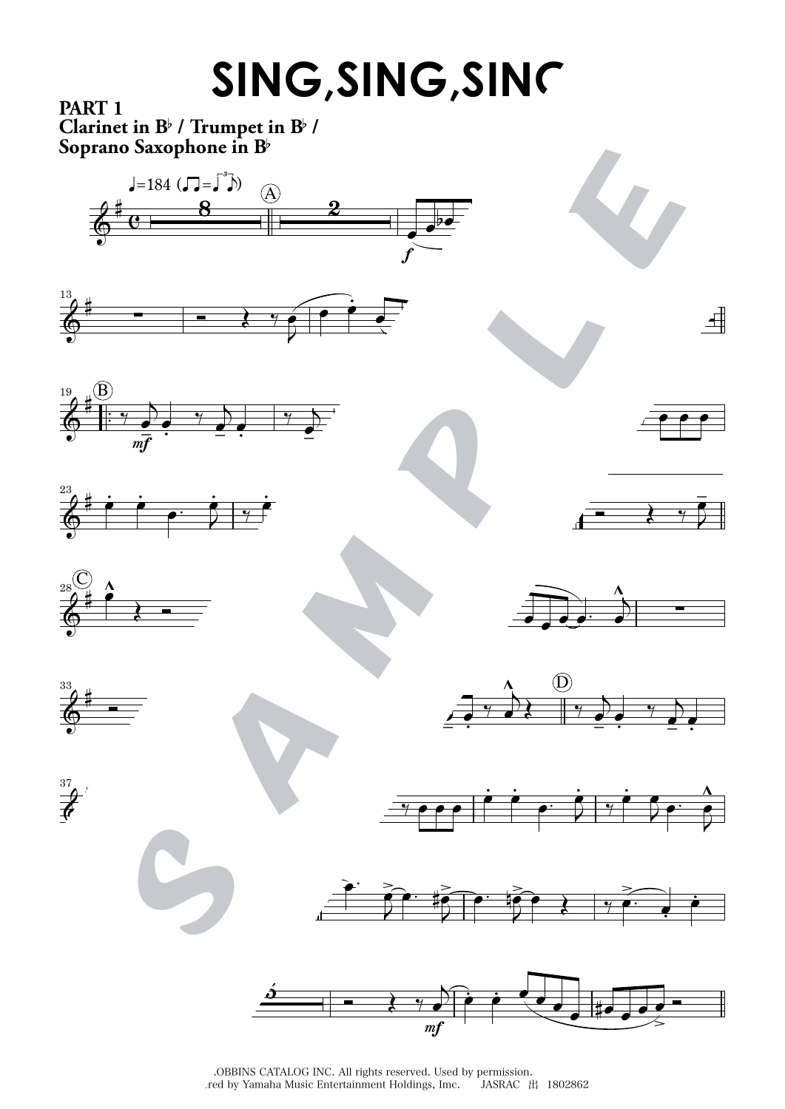## **SING,SING,SING**

**PART 1**  $\overline{\text{Clarinet in B}}$ <sup>b</sup> / Trumpet in  $\overline{\text{B}}$ <sup>b</sup> / **Soprano Saxophone in B**b